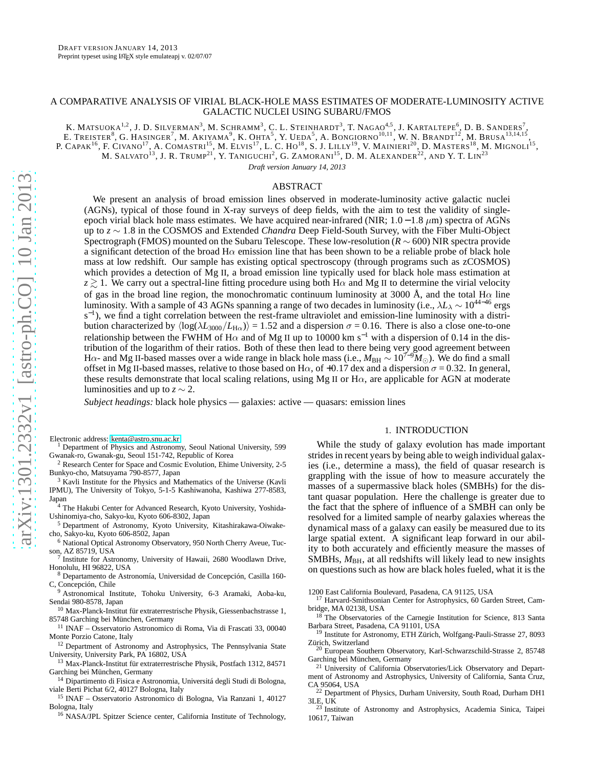# A COMPARATIVE ANALYSIS OF VIRIAL BLACK-HOLE MASS ESTIMATES OF MODERATE-LUMINOSITY ACTIVE GALACTIC NUCLEI USING SUBARU/FMOS

K. MATSUOKA<sup>1,2</sup>, J. D. SILVERMAN<sup>3</sup>, M. SCHRAMM<sup>3</sup>, C. L. STEINHARDT<sup>3</sup>, T. NAGAO<sup>4,5</sup>, J. KARTALTEPE<sup>6</sup>, D. B. SANDERS<sup>7</sup>, E. TREISTER<sup>8</sup>, G. HASINGER<sup>7</sup>, M. AKIYAMA<sup>9</sup>, K. OHTA<sup>5</sup>, Y. UEDA<sup>5</sup>, A. BONGIORNO<sup>10,11</sup>, W. N. BRANDT<sup>12</sup>, M. BRUSA<sup>13,14,15</sup>, P. CAPAK<sup>16</sup>, F. CIVANO<sup>17</sup>, A. COMASTRI<sup>15</sup>, M. ELVIS<sup>17</sup>, L. C. HO<sup>18</sup>, S. J. LILLY<sup>19</sup>, V. MAINIERI<sup>20</sup>, D. MASTERS<sup>18</sup>, M. MIGNOLI<sup>15</sup>, M. SALVATO<sup>13</sup>, J. R. Trump<sup>21</sup>, Y. Taniguchi<sup>2</sup>, G. Zamorani<sup>15</sup>, D. M. Alexander<sup>22</sup>, and Y. T. Lin<sup>23</sup>

*Draft version January 14, 2013*

# ABSTRACT

We present an analysis of broad emission lines observed in moderate-luminosity active galactic nuclei (AGNs), typical of those found in X-ray surveys of deep fields, with the aim to test the validity of singleepoch virial black hole mass estimates. We have acquired near-infrared (NIR;  $1.0 - 1.8 \mu m$ ) spectra of AGNs up to *z* ∼ 1.8 in the COSMOS and Extended *Chandra* Deep Field-South Survey, with the Fiber Multi-Object Spectrograph (FMOS) mounted on the Subaru Telescope. These low-resolution (*R* ∼ 600) NIR spectra provide a significant detection of the broad  $H\alpha$  emission line that has been shown to be a reliable probe of black hole mass at low redshift. Our sample has existing optical spectroscopy (through programs such as zCOSMOS) which provides a detection of Mg II, a broad emission line typically used for black hole mass estimation at  $z \gtrsim 1$ . We carry out a spectral-line fitting procedure using both H $\alpha$  and Mg II to determine the virial velocity of gas in the broad line region, the monochromatic continuum luminosity at 3000 Å, and the total H $\alpha$  line luminosity. With a sample of 43 AGNs spanning a range of two decades in luminosity (i.e., λ*L*<sup>λ</sup> ∼ 1044−<sup>46</sup> ergs s<sup>-1</sup>), we find a tight correlation between the rest-frame ultraviolet and emission-line luminosity with a distribution characterized by  $\langle \log(\lambda L_{3000}/L_{\text{H}\alpha}) \rangle = 1.52$  and a dispersion  $\sigma = 0.16$ . There is also a close one-to-one relationship between the FWHM of H $\alpha$  and of Mg II up to 10000 km s<sup>−1</sup> with a dispersion of 0.14 in the distribution of the logarithm of their ratios. Both of these then lead to there being very good agreement between Hα- and Mg II-based masses over a wide range in black hole mass (i.e., *M*BH ∼ 107−<sup>9</sup>*M*⊙). We do find a small offset in Mg II-based masses, relative to those based on H $\alpha$ , of +0.17 dex and a dispersion  $\sigma$  = 0.32. In general, these results demonstrate that local scaling relations, using Mg II or  $H\alpha$ , are applicable for AGN at moderate luminosities and up to  $z \sim 2$ .

*Subject headings:* black hole physics — galaxies: active — quasars: emission lines

Electronic address: [kenta@astro.snu.ac.kr](mailto:kenta@astro.snu.ac.kr)

<sup>1</sup> Department of Physics and Astronomy, Seoul National University, 599 Gwanak-ro, Gwanak-gu, Seoul 151-742, Republic of Korea

<sup>2</sup> Research Center for Space and Cosmic Evolution, Ehime University, 2-5 Bunkyo-cho, Matsuyama 790-8577, Japan

<sup>3</sup> Kavli Institute for the Physics and Mathematics of the Universe (Kavli IPMU), The University of Tokyo, 5-1-5 Kashiwanoha, Kashiwa 277-8583, Japan

<sup>4</sup> The Hakubi Center for Advanced Research, Kyoto University, Yoshida-Ushinomiya-cho, Sakyo-ku, Kyoto 606-8302, Japan

<sup>5</sup> Department of Astronomy, Kyoto University, Kitashirakawa-Oiwakecho, Sakyo-ku, Kyoto 606-8502, Japan

<sup>6</sup> National Optical Astronomy Observatory, 950 North Cherry Aveue, Tucson, AZ 85719, USA

Institute for Astronomy, University of Hawaii, 2680 Woodlawn Drive, Honolulu, HI 96822, USA

<sup>8</sup> Departamento de Astronomía, Universidad de Concepción, Casilla 160- C, Concepción, Chile

<sup>9</sup> Astronomical Institute, Tohoku University, 6-3 Aramaki, Aoba-ku, Sendai 980-8578, Japan

 $^{10}$ Max-Planck-Institut für extraterrestrische Physik, Giessenbachstrasse $1,$ 85748 Garching bei München, Germany

<sup>11</sup> INAF – Osservatorio Astronomico di Roma, Via di Frascati 33, 00040 Monte Porzio Catone, Italy

<sup>12</sup> Department of Astronomy and Astrophysics, The Pennsylvania State University, University Park, PA 16802, USA

<sup>13</sup> Max-Planck-Institut für extraterrestrische Physik, Postfach 1312, 84571 Garching bei München, Germany

<sup>14</sup> Dipartimento di Fisica e Astronomia, Universitá degli Studi di Bologna, viale Berti Pichat 6/2, 40127 Bologna, Italy

<sup>15</sup> INAF – Osservatorio Astronomico di Bologna, Via Ranzani 1, 40127 Bologna, Italy

<sup>16</sup> NASA/JPL Spitzer Science center, California Institute of Technology,

## 1. INTRODUCTION

While the study of galaxy evolution has made important strides in recent years by being able to weigh individual galaxies (i.e., determine a mass), the field of quasar research is grappling with the issue of how to measure accurately the masses of a supermassive black holes (SMBHs) for the distant quasar population. Here the challenge is greater due to the fact that the sphere of influence of a SMBH can only be resolved for a limited sample of nearby galaxies whereas the dynamical mass of a galaxy can easily be measured due to its large spatial extent. A significant leap forward in our ability to both accurately and efficiently measure the masses of SMBHs,  $M_{BH}$ , at all redshifts will likely lead to new insights on questions such as how are black holes fueled, what it is the

1200 East California Boulevard, Pasadena, CA 91125, USA

<sup>17</sup> Harvard-Smithsonian Center for Astrophysics, 60 Garden Street, Cambridge, MA 02138, USA

<sup>18</sup> The Observatories of the Carnegie Institution for Science, 813 Santa Barbara Street, Pasadena, CA 91101, USA

<sup>19</sup> Institute for Astronomy, ETH Zürich, Wolfgang-Pauli-Strasse 27, 8093 Zürich, Switzerland

<sup>20</sup> European Southern Observatory, Karl-Schwarzschild-Strasse 2, 85748 Garching bei München, Germany

<sup>21</sup> University of California Observatories/Lick Observatory and Department of Astronomy and Astrophysics, University of California, Santa Cruz,

CA 95064, USA <sup>22</sup> Department of Physics, Durham University, South Road, Durham DH1 3LE, UK <sup>23</sup> Institute of Astronomy and Astrophysics, Academia Sinica, Taipei

10617, Taiwan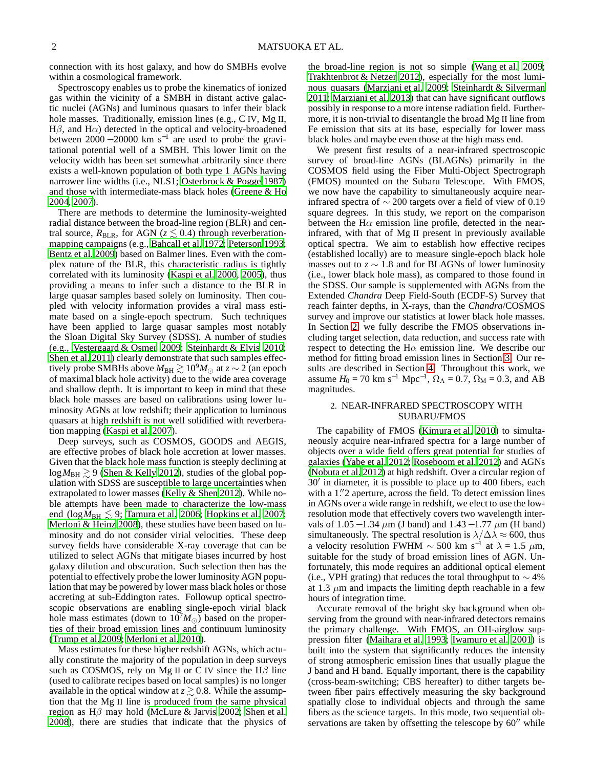connection with its host galaxy, and how do SMBHs evolve within a cosmological framework.

Spectroscopy enables us to probe the kinematics of ionized gas within the vicinity of a SMBH in distant active galactic nuclei (AGNs) and luminous quasars to infer their black hole masses. Traditionally, emission lines (e.g., C IV, Mg II,  $H\beta$ , and  $H\alpha$ ) detected in the optical and velocity-broadened between  $2000 - 20000$  km s<sup>-1</sup> are used to probe the gravitational potential well of a SMBH. This lower limit on the velocity width has been set somewhat arbitrarily since there exists a well-known population of both type 1 AGNs having narrower line widths (i.e., NLS1; [Osterbrock & Pogge 1987\)](#page-8-0) and those with intermediate-mass black holes [\(Greene & Ho](#page-7-0) [2004,](#page-7-0) [2007\)](#page-7-1).

There are methods to determine the luminosity-weighted radial distance between the broad-line region (BLR) and central source,  $R_{BLR}$ , for AGN ( $z \lesssim 0.4$ ) through reverberationmapping campaigns (e.g., [Bahcall et al. 1972;](#page-7-2) [Peterson 1993;](#page-8-1) [Bentz et al. 2009](#page-7-3)) based on Balmer lines. Even with the complex nature of the BLR, this characteristic radius is tightly correlated with its luminosity [\(Kaspi et al. 2000,](#page-8-2) [2005\)](#page-8-3), thus providing a means to infer such a distance to the BLR in large quasar samples based solely on luminosity. Then coupled with velocity information provides a viral mass estimate based on a single-epoch spectrum. Such techniques have been applied to large quasar samples most notably the Sloan Digital Sky Survey (SDSS). A number of studies (e.g., [Vestergaard & Osmer 2009](#page-8-4); [Steinhardt & Elvis 2010;](#page-8-5) [Shen et al. 2011\)](#page-8-6) clearly demonstrate that such samples effectively probe SMBHs above  $M_{\text{BH}} \gtrsim 10^9 M_{\odot}$  at  $z \sim 2$  (an epoch of maximal black hole activity) due to the wide area coverage and shallow depth. It is important to keep in mind that these black hole masses are based on calibrations using lower luminosity AGNs at low redshift; their application to luminous quasars at high redshift is not well solidified with reverberation mapping [\(Kaspi et al. 2007\)](#page-8-7).

Deep surveys, such as COSMOS, GOODS and AEGIS, are effective probes of black hole accretion at lower masses. Given that the black hole mass function is steeply declining at  $\log M_{\rm BH} \gtrsim 9$  [\(Shen & Kelly 2012\)](#page-8-8), studies of the global population with SDSS are susceptible to large uncertainties when extrapolated to lower masses [\(Kelly & Shen 2012\)](#page-8-9). While noble attempts have been made to characterize the low-mass end ( $log M_{BH} \leq 9$ ; [Tamura et al. 2006](#page-8-10); [Hopkins et al. 2007;](#page-7-4) [Merloni & Heinz 2008\)](#page-8-11), these studies have been based on luminosity and do not consider virial velocities. These deep survey fields have considerable X-ray coverage that can be utilized to select AGNs that mitigate biases incurred by host galaxy dilution and obscuration. Such selection then has the potential to effectively probe the lower luminosity AGN population that may be powered by lower mass black holes or those accreting at sub-Eddington rates. Followup optical spectroscopic observations are enabling single-epoch virial black hole mass estimates (down to  $10<sup>7</sup>M_{\odot}$ ) based on the properties of their broad emission lines and continuum luminosity [\(Trump et al. 2009](#page-8-12); [Merloni et al. 2010\)](#page-8-13).

Mass estimates for these higher redshift AGNs, which actually constitute the majority of the population in deep surveys such as COSMOS, rely on Mg II or C IV since the  $H\beta$  line (used to calibrate recipes based on local samples) is no longer available in the optical window at  $z \gtrsim 0.8$ . While the assumption that the Mg II line is produced from the same physical region as  $H\beta$  may hold [\(McLure & Jarvis 2002;](#page-8-14) [Shen et al.](#page-8-15) [2008\)](#page-8-15), there are studies that indicate that the physics of

the broad-line region is not so simple [\(Wang et al. 2009](#page-8-16); [Trakhtenbrot & Netzer 2012](#page-8-17)), especially for the most luminous quasars [\(Marziani et al. 2009;](#page-8-18) [Steinhardt & Silverman](#page-8-19) [2011;](#page-8-19) [Marziani et al. 2013](#page-8-20)) that can have significant outflows possibly in response to a more intense radiation field. Furthermore, it is non-trivial to disentangle the broad Mg II line from Fe emission that sits at its base, especially for lower mass black holes and maybe even those at the high mass end.

We present first results of a near-infrared spectroscopic survey of broad-line AGNs (BLAGNs) primarily in the COSMOS field using the Fiber Multi-Object Spectrograph (FMOS) mounted on the Subaru Telescope. With FMOS, we now have the capability to simultaneously acquire nearinfrared spectra of ∼ 200 targets over a field of view of 0.19 square degrees. In this study, we report on the comparison between the H $\alpha$  emission line profile, detected in the nearinfrared, with that of Mg II present in previously available optical spectra. We aim to establish how effective recipes (established locally) are to measure single-epoch black hole masses out to  $z \sim 1.8$  and for BLAGNs of lower luminosity (i.e., lower black hole mass), as compared to those found in the SDSS. Our sample is supplemented with AGNs from the Extended *Chandra* Deep Field-South (ECDF-S) Survey that reach fainter depths, in X-rays, than the *Chandra*/COSMOS survey and improve our statistics at lower black hole masses. In Section [2,](#page-1-0) we fully describe the FMOS observations including target selection, data reduction, and success rate with respect to detecting the H $\alpha$  emission line. We describe our method for fitting broad emission lines in Section [3.](#page-3-0) Our results are described in Section [4.](#page-5-0) Throughout this work, we assume  $H_0 = 70 \text{ km s}^{-1} \text{ Mpc}^{-1}$ ,  $\Omega_{\Lambda} = 0.7$ ,  $\Omega_{\text{M}} = 0.3$ , and AB magnitudes.

# <span id="page-1-0"></span>2. NEAR-INFRARED SPECTROSCOPY WITH SUBARU/FMOS

The capability of FMOS [\(Kimura et al. 2010\)](#page-8-21) to simultaneously acquire near-infrared spectra for a large number of objects over a wide field offers great potential for studies of galaxies [\(Yabe et al. 2012;](#page-8-22) [Roseboom et al. 2012\)](#page-8-23) and AGNs [\(Nobuta et al. 2012](#page-8-24)) at high redshift. Over a circular region of 30′ in diameter, it is possible to place up to 400 fibers, each with a 1"2 aperture, across the field. To detect emission lines in AGNs over a wide range in redshift, we elect to use the lowresolution mode that effectively covers two wavelength intervals of 1.05 – 1.34  $\mu$ m (J band) and 1.43 – 1.77  $\mu$ m (H band) simultaneously. The spectral resolution is  $\lambda/\Delta\lambda \approx 600$ , thus a velocity resolution FWHM  $\sim$  500 km s<sup>-1</sup> at  $\lambda = 1.5 \mu$ m, suitable for the study of broad emission lines of AGN. Unfortunately, this mode requires an additional optical element (i.e., VPH grating) that reduces the total throughput to  $\sim$  4% at 1.3  $\mu$ m and impacts the limiting depth reachable in a few hours of integration time.

Accurate removal of the bright sky background when observing from the ground with near-infrared detectors remains the primary challenge. With FMOS, an OH-airglow suppression filter [\(Maihara et al. 1993;](#page-8-25) [Iwamuro et al. 2001](#page-8-26)) is built into the system that significantly reduces the intensity of strong atmospheric emission lines that usually plague the J band and H band. Equally important, there is the capability (cross-beam-switching; CBS hereafter) to dither targets between fiber pairs effectively measuring the sky background spatially close to individual objects and through the same fibers as the science targets. In this mode, two sequential observations are taken by offsetting the telescope by 60″ while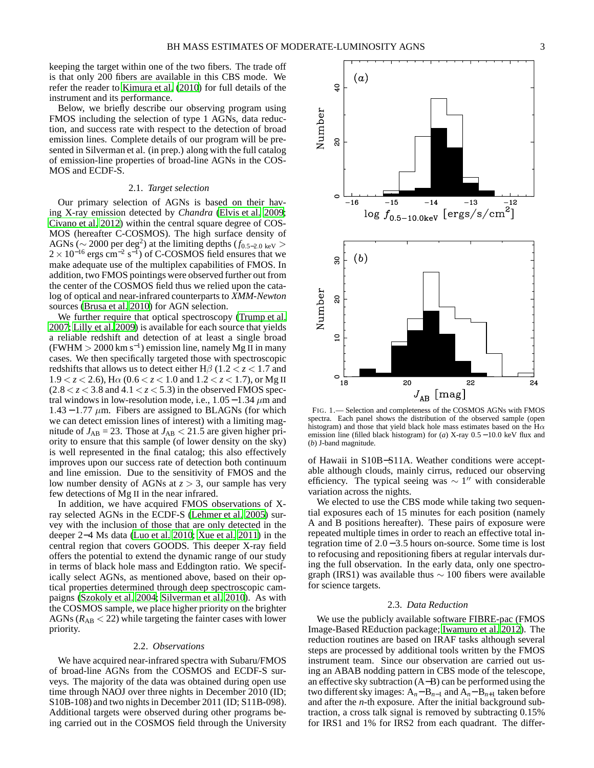keeping the target within one of the two fibers. The trade off is that only 200 fibers are available in this CBS mode. We refer the reader to [Kimura et al. \(2010\)](#page-8-21) for full details of the instrument and its performance.

Below, we briefly describe our observing program using FMOS including the selection of type 1 AGNs, data reduction, and success rate with respect to the detection of broad emission lines. Complete details of our program will be presented in Silverman et al. (in prep.) along with the full catalog of emission-line properties of broad-line AGNs in the COS-MOS and ECDF-S.

#### 2.1. *Target selection*

Our primary selection of AGNs is based on their having X-ray emission detected by *Chandra* [\(Elvis et al. 2009;](#page-7-5) [Civano et al. 2012\)](#page-7-6) within the central square degree of COS-MOS (hereafter C-COSMOS). The high surface density of AGNs ( $\sim$  2000 per deg<sup>2</sup>) at the limiting depths ( $f_{0.5-2.0 \text{ keV}}$ )  $2 \times 10^{-16}$  ergs cm<sup>-2</sup> s<sup>-1</sup>) of C-COSMOS field ensures that we make adequate use of the multiplex capabilities of FMOS. In addition, two FMOS pointings were observed further out from the center of the COSMOS field thus we relied upon the catalog of optical and near-infrared counterparts to *XMM-Newton* sources [\(Brusa et al. 2010\)](#page-7-7) for AGN selection.

We further require that optical spectroscopy [\(Trump et al.](#page-8-27) [2007;](#page-8-27) [Lilly et al. 2009](#page-8-28)) is available for each source that yields a reliable redshift and detection of at least a single broad (FWHM > 2000 km s<sup>-1</sup>) emission line, namely Mg II in many cases. We then specifically targeted those with spectroscopic redshifts that allows us to detect either H $\beta$  (1.2 < *z* < 1.7 and  $1.9 < z < 2.6$ ), H $\alpha$  ( $0.6 < z < 1.0$  and  $1.2 < z < 1.7$ ), or Mg II  $(2.8 < z < 3.8$  and  $4.1 < z < 5.3$ ) in the observed FMOS spectral windows in low-resolution mode, i.e.,  $1.05-1.34 \mu$ m and  $1.43 - 1.77 \mu m$ . Fibers are assigned to BLAGNs (for which we can detect emission lines of interest) with a limiting magnitude of  $J_{AB} = 23$ . Those at  $J_{AB} < 21.5$  are given higher priority to ensure that this sample (of lower density on the sky) is well represented in the final catalog; this also effectively improves upon our success rate of detection both continuum and line emission. Due to the sensitivity of FMOS and the low number density of AGNs at *z* > 3, our sample has very few detections of Mg II in the near infrared.

In addition, we have acquired FMOS observations of Xray selected AGNs in the ECDF-S [\(Lehmer et al. 2005](#page-8-29)) survey with the inclusion of those that are only detected in the deeper 2−4 Ms data [\(Luo et al. 2010;](#page-8-30) [Xue et al. 2011\)](#page-8-31) in the central region that covers GOODS. This deeper X-ray field offers the potential to extend the dynamic range of our study in terms of black hole mass and Eddington ratio. We specifically select AGNs, as mentioned above, based on their optical properties determined through deep spectroscopic campaigns [\(Szokoly et al. 2004;](#page-8-32) [Silverman et al. 2010\)](#page-8-33). As with the COSMOS sample, we place higher priority on the brighter AGNs ( $R_{AB}$  < 22) while targeting the fainter cases with lower priority.

# 2.2. *Observations*

We have acquired near-infrared spectra with Subaru/FMOS of broad-line AGNs from the COSMOS and ECDF-S surveys. The majority of the data was obtained during open use time through NAOJ over three nights in December 2010 (ID; S10B-108) and two nights in December 2011 (ID; S11B-098). Additional targets were observed during other programs being carried out in the COSMOS field through the University



<span id="page-2-0"></span>FIG. 1.— Selection and completeness of the COSMOS AGNs with FMOS spectra. Each panel shows the distribution of the observed sample (open histogram) and those that yield black hole mass estimates based on the  $H\alpha$ emission line (filled black histogram) for (*a*) X-ray 0.5 − 10.0 keV flux and (*b*) J-band magnitude.

of Hawaii in S10B−S11A. Weather conditions were acceptable although clouds, mainly cirrus, reduced our observing efficiency. The typical seeing was  $\sim 1''$  with considerable variation across the nights.

We elected to use the CBS mode while taking two sequential exposures each of 15 minutes for each position (namely A and B positions hereafter). These pairs of exposure were repeated multiple times in order to reach an effective total integration time of 2.0 − 3.5 hours on-source. Some time is lost to refocusing and repositioning fibers at regular intervals during the full observation. In the early data, only one spectrograph (IRS1) was available thus  $\sim 100$  fibers were available for science targets.

#### 2.3. *Data Reduction*

We use the publicly available software FIBRE-pac (FMOS Image-Based REduction package; [Iwamuro et al. 2012\)](#page-8-34). The reduction routines are based on IRAF tasks although several steps are processed by additional tools written by the FMOS instrument team. Since our observation are carried out using an ABAB nodding pattern in CBS mode of the telescope, an effective sky subtraction (A−B) can be performed using the two different sky images:  $A_n - B_{n-1}$  and  $A_n - B_{n+1}$  taken before and after the *n*-th exposure. After the initial background subtraction, a cross talk signal is removed by subtracting 0.15% for IRS1 and 1% for IRS2 from each quadrant. The differ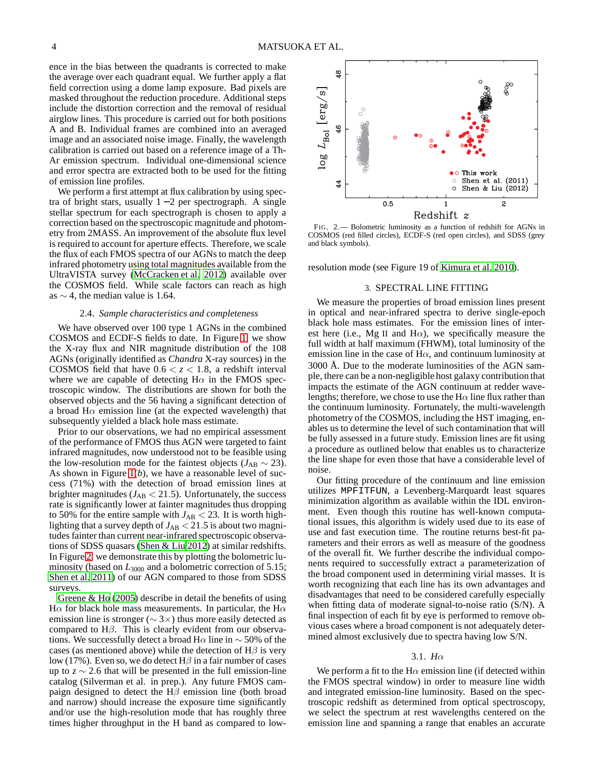ence in the bias between the quadrants is corrected to make the average over each quadrant equal. We further apply a flat field correction using a dome lamp exposure. Bad pixels are masked throughout the reduction procedure. Additional steps include the distortion correction and the removal of residual airglow lines. This procedure is carried out for both positions A and B. Individual frames are combined into an averaged image and an associated noise image. Finally, the wavelength calibration is carried out based on a reference image of a Th-Ar emission spectrum. Individual one-dimensional science and error spectra are extracted both to be used for the fitting of emission line profiles.

We perform a first attempt at flux calibration by using spectra of bright stars, usually  $1 - 2$  per spectrograph. A single stellar spectrum for each spectrograph is chosen to apply a correction based on the spectroscopic magnitude and photometry from 2MASS. An improvement of the absolute flux level is required to account for aperture effects. Therefore, we scale the flux of each FMOS spectra of our AGNs to match the deep infrared photometry using total magnitudes available from the UltraVISTA survey [\(McCracken et al. 2012\)](#page-8-35) available over the COSMOS field. While scale factors can reach as high as  $\sim$  4, the median value is 1.64.

# 2.4. *Sample characteristics and completeness*

We have observed over 100 type 1 AGNs in the combined COSMOS and ECDF-S fields to date. In Figure [1,](#page-2-0) we show the X-ray flux and NIR magnitude distribution of the 108 AGNs (originally identified as *Chandra* X-ray sources) in the COSMOS field that have  $0.6 < z < 1.8$ , a redshift interval where we are capable of detecting  $H\alpha$  in the FMOS spectroscopic window. The distributions are shown for both the observed objects and the 56 having a significant detection of a broad  $H\alpha$  emission line (at the expected wavelength) that subsequently yielded a black hole mass estimate.

Prior to our observations, we had no empirical assessment of the performance of FMOS thus AGN were targeted to faint infrared magnitudes, now understood not to be feasible using the low-resolution mode for the faintest objects ( $J_{AB} \sim 23$ ). As shown in Figure [1\(](#page-2-0)*b*), we have a reasonable level of success (71%) with the detection of broad emission lines at brighter magnitudes  $(J_{AB} < 21.5)$ . Unfortunately, the success rate is significantly lower at fainter magnitudes thus dropping to 50% for the entire sample with  $J_{AB}$  < 23. It is worth highlighting that a survey depth of  $J_{AB}$  < 21.5 is about two magnitudes fainter than current near-infrared spectroscopic observations of SDSS quasars [\(Shen & Liu 2012](#page-8-36)) at similar redshifts. In Figure [2,](#page-3-1) we demonstrate this by plotting the bolometric luminosity (based on  $L_{3000}$  and a bolometric correction of 5.15; [Shen et al. 2011](#page-8-6)) of our AGN compared to those from SDSS surveys.

[Greene & Ho \(2005](#page-7-8)) describe in detail the benefits of using H $\alpha$  for black hole mass measurements. In particular, the H $\alpha$ emission line is stronger ( $\sim$  3×) thus more easily detected as compared to  $H\beta$ . This is clearly evident from our observations. We successfully detect a broad H $\alpha$  line in  $\sim$  50% of the cases (as mentioned above) while the detection of  $H\beta$  is very low (17%). Even so, we do detect  $H\beta$  in a fair number of cases up to  $z \sim 2.6$  that will be presented in the full emission-line catalog (Silverman et al. in prep.). Any future FMOS campaign designed to detect the  $H\beta$  emission line (both broad and narrow) should increase the exposure time significantly and/or use the high-resolution mode that has roughly three times higher throughput in the H band as compared to low-



<span id="page-3-1"></span>FIG. 2.— Bolometric luminosity as a function of redshift for AGNs in COSMOS (red filled circles), ECDF-S (red open circles), and SDSS (grey and black symbols).

<span id="page-3-0"></span>resolution mode (see Figure 19 of [Kimura et al. 2010\)](#page-8-21).

## 3. SPECTRAL LINE FITTING

We measure the properties of broad emission lines present in optical and near-infrared spectra to derive single-epoch black hole mass estimates. For the emission lines of interest here (i.e., Mg II and H $\alpha$ ), we specifically measure the full width at half maximum (FHWM), total luminosity of the emission line in the case of  $H\alpha$ , and continuum luminosity at 3000 Å. Due to the moderate luminosities of the AGN sample, there can be a non-negligible host galaxy contribution that impacts the estimate of the AGN continuum at redder wavelengths; therefore, we chose to use the  $H\alpha$  line flux rather than the continuum luminosity. Fortunately, the multi-wavelength photometry of the COSMOS, including the HST imaging, enables us to determine the level of such contamination that will be fully assessed in a future study. Emission lines are fit using a procedure as outlined below that enables us to characterize the line shape for even those that have a considerable level of noise.

Our fitting procedure of the continuum and line emission utilizes MPFITFUN, a Levenberg-Marquardt least squares minimization algorithm as available within the IDL environment. Even though this routine has well-known computational issues, this algorithm is widely used due to its ease of use and fast execution time. The routine returns best-fit parameters and their errors as well as measure of the goodness of the overall fit. We further describe the individual components required to successfully extract a parameterization of the broad component used in determining virial masses. It is worth recognizing that each line has its own advantages and disadvantages that need to be considered carefully especially when fitting data of moderate signal-to-noise ratio (S/N). A final inspection of each fit by eye is performed to remove obvious cases where a broad component is not adequately determined almost exclusively due to spectra having low S/N.

## 3.1. *H*α

We perform a fit to the H $\alpha$  emission line (if detected within the FMOS spectral window) in order to measure line width and integrated emission-line luminosity. Based on the spectroscopic redshift as determined from optical spectroscopy, we select the spectrum at rest wavelengths centered on the emission line and spanning a range that enables an accurate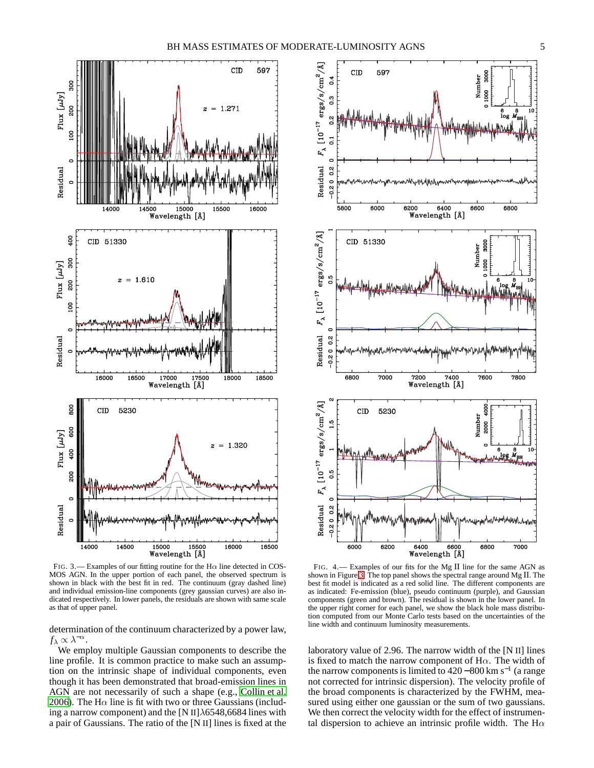

<span id="page-4-0"></span>FIG. 3.— Examples of our fitting routine for the H $\alpha$  line detected in COS-MOS AGN. In the upper portion of each panel, the observed spectrum is shown in black with the best fit in red. The continuum (gray dashed line) and individual emission-line components (grey gaussian curves) are also indicated respectively. In lower panels, the residuals are shown with same scale as that of upper panel.

determination of the continuum characterized by a power law,  $f_{\lambda} \propto \lambda^{-\alpha}$ .

We employ multiple Gaussian components to describe the line profile. It is common practice to make such an assumption on the intrinsic shape of individual components, even though it has been demonstrated that broad-emission lines in AGN are not necessarily of such a shape (e.g., [Collin et al.](#page-7-9) [2006\)](#page-7-9). The H $\alpha$  line is fit with two or three Gaussians (including a narrow component) and the [N II] $\lambda$ 6548,6684 lines with a pair of Gaussians. The ratio of the [N II] lines is fixed at the



<span id="page-4-1"></span>FIG. 4.— Examples of our fits for the Mg II line for the same AGN as shown in Figure [3.](#page-4-0) The top panel shows the spectral range around Mg II. The best fit model is indicated as a red solid line. The different components are as indicated: Fe-emission (blue), pseudo continuum (purple), and Gaussian components (green and brown). The residual is shown in the lower panel. In the upper right corner for each panel, we show the black hole mass distribution computed from our Monte Carlo tests based on the uncertainties of the line width and continuum luminosity measurements.

laboratory value of 2.96. The narrow width of the [N II] lines is fixed to match the narrow component of H $\alpha$ . The width of the narrow components is limited to  $420-800$  km s<sup>-1</sup> (a range not corrected for intrinsic dispersion). The velocity profile of the broad components is characterized by the FWHM, measured using either one gaussian or the sum of two gaussians. We then correct the velocity width for the effect of instrumental dispersion to achieve an intrinsic profile width. The H $\alpha$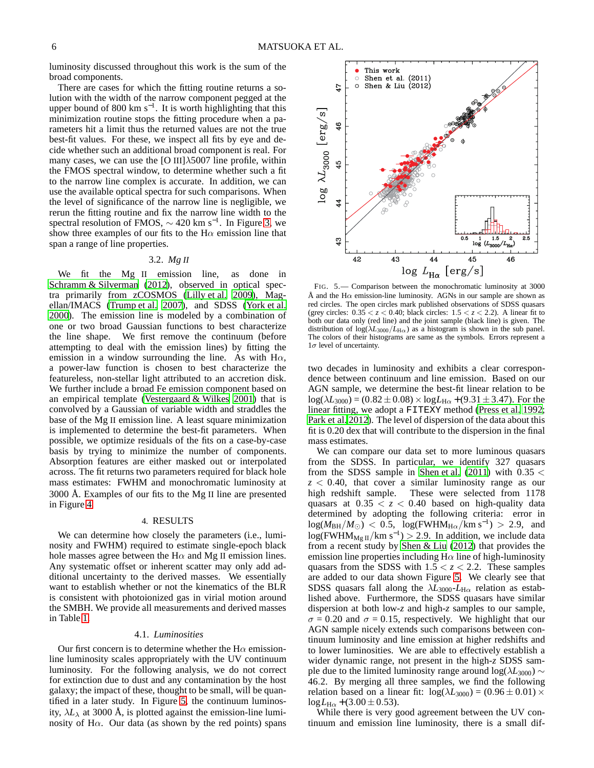luminosity discussed throughout this work is the sum of the broad components.

There are cases for which the fitting routine returns a solution with the width of the narrow component pegged at the upper bound of 800 km  $s^{-1}$ . It is worth highlighting that this minimization routine stops the fitting procedure when a parameters hit a limit thus the returned values are not the true best-fit values. For these, we inspect all fits by eye and decide whether such an additional broad component is real. For many cases, we can use the [O III] $\lambda$ 5007 line profile, within the FMOS spectral window, to determine whether such a fit to the narrow line complex is accurate. In addition, we can use the available optical spectra for such comparisons. When the level of significance of the narrow line is negligible, we rerun the fitting routine and fix the narrow line width to the spectral resolution of FMOS,  $\sim$  420 km s<sup>-1</sup>. In Figure [3,](#page-4-0) we show three examples of our fits to the  $H\alpha$  emission line that span a range of line properties.

#### 3.2. *Mg II*

We fit the Mg II emission line, as done in [Schramm & Silverman \(2012\)](#page-8-37), observed in optical spectra primarily from zCOSMOS [\(Lilly et al. 2009](#page-8-28)), Magellan/IMACS [\(Trump et al. 2007\)](#page-8-27), and SDSS [\(York et al.](#page-8-38) [2000\)](#page-8-38). The emission line is modeled by a combination of one or two broad Gaussian functions to best characterize the line shape. We first remove the continuum (before attempting to deal with the emission lines) by fitting the emission in a window surrounding the line. As with  $H\alpha$ , a power-law function is chosen to best characterize the featureless, non-stellar light attributed to an accretion disk. We further include a broad Fe emission component based on an empirical template (Vestergaard  $&$  Wilkes 2001) that is convolved by a Gaussian of variable width and straddles the base of the Mg II emission line. A least square minimization is implemented to determine the best-fit parameters. When possible, we optimize residuals of the fits on a case-by-case basis by trying to minimize the number of components. Absorption features are either masked out or interpolated across. The fit returns two parameters required for black hole mass estimates: FWHM and monochromatic luminosity at 3000 Å. Examples of our fits to the Mg II line are presented in Figure [4.](#page-4-1)

#### 4. RESULTS

<span id="page-5-0"></span>We can determine how closely the parameters (i.e., luminosity and FWHM) required to estimate single-epoch black hole masses agree between the H $\alpha$  and Mg II emission lines. Any systematic offset or inherent scatter may only add additional uncertainty to the derived masses. We essentially want to establish whether or not the kinematics of the BLR is consistent with photoionized gas in virial motion around the SMBH. We provide all measurements and derived masses in Table [1.](#page-6-0)

## 4.1. *Luminosities*

Our first concern is to determine whether the  $H\alpha$  emissionline luminosity scales appropriately with the UV continuum luminosity. For the following analysis, we do not correct for extinction due to dust and any contamination by the host galaxy; the impact of these, thought to be small, will be quantified in a later study. In Figure [5,](#page-5-1) the continuum luminosity,  $\lambda L_{\lambda}$  at 3000 Å, is plotted against the emission-line luminosity of H $\alpha$ . Our data (as shown by the red points) spans



<span id="page-5-1"></span>FIG. 5.— Comparison between the monochromatic luminosity at 3000 Å and the H $\alpha$  emission-line luminosity. AGNs in our sample are shown as red circles. The open circles mark published observations of SDSS quasars (grey circles:  $0.35 < z < 0.40$ ; black circles:  $1.5 < z < 2.2$ ). A linear fit to both our data only (red line) and the joint sample (black line) is given. The distribution of  $\log(\lambda L_{3000}/L_{\text{H}\alpha})$  as a histogram is shown in the sub panel. The colors of their histograms are same as the symbols. Errors represent a  $1\sigma$  level of uncertainty.

two decades in luminosity and exhibits a clear correspondence between continuum and line emission. Based on our AGN sample, we determine the best-fit linear relation to be  $log(\lambda L_{3000}) = (0.82 \pm 0.08) \times log L_{H\alpha} + (9.31 \pm 3.47)$ . For the linear fitting, we adopt a FITEXY method [\(Press et al. 1992](#page-8-40); [Park et al. 2012\)](#page-8-41). The level of dispersion of the data about this fit is 0.20 dex that will contribute to the dispersion in the final mass estimates.

We can compare our data set to more luminous quasars from the SDSS. In particular, we identify 327 quasars from the SDSS sample in [Shen et al.](#page-8-6)  $(2011)$  with  $0.35 <$ *z* < 0.40, that cover a similar luminosity range as our high redshift sample. These were selected from 1178 quasars at  $0.35 < z < 0.40$  based on high-quality data determined by adopting the following criteria: error in  $log(M_{\rm BH}/M_{\odot})$  < 0.5,  $log(FWHM_{\rm H\alpha}/\rm km\ s^{-1})$  > 2.9, and  $log(FWHM_{Mg\ II}/km\ s^{-1}) > 2.9$ . In addition, we include data from a recent study by [Shen & Liu \(2012\)](#page-8-36) that provides the emission line properties including  $H\alpha$  line of high-luminosity quasars from the SDSS with  $1.5 < z < 2.2$ . These samples are added to our data shown Figure [5.](#page-5-1) We clearly see that SDSS quasars fall along the  $\lambda L_{3000}$ - $L_{\text{H}\alpha}$  relation as established above. Furthermore, the SDSS quasars have similar dispersion at both low-*z* and high-*z* samples to our sample,  $\sigma = 0.20$  and  $\sigma = 0.15$ , respectively. We highlight that our AGN sample nicely extends such comparisons between continuum luminosity and line emission at higher redshifts and to lower luminosities. We are able to effectively establish a wider dynamic range, not present in the high-*z* SDSS sample due to the limited luminosity range around log( $\lambda L_{3000}$ ) ∼ 46.2. By merging all three samples, we find the following relation based on a linear fit:  $log(\lambda L_{3000}) = (0.96 \pm 0.01) \times$  $log L_{H\alpha}$  + (3.00  $\pm$  0.53).

While there is very good agreement between the UV continuum and emission line luminosity, there is a small dif-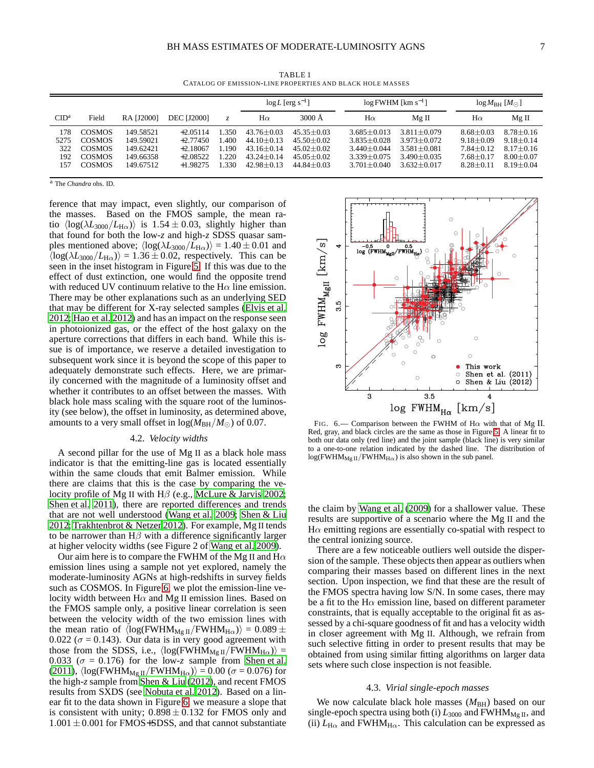<span id="page-6-0"></span>

|                                  |                                                                                   |                                                               |                                                                    |                                          | $\log L$ [erg s <sup>-1</sup> ]                                                        |                                                                                        | $log$ FWHM [km $s^{-1}$ ]                                                                   |                                                                                             | $log M_{BH}$ [ $M_{\odot}$ ]                                                      |                                                                                   |
|----------------------------------|-----------------------------------------------------------------------------------|---------------------------------------------------------------|--------------------------------------------------------------------|------------------------------------------|----------------------------------------------------------------------------------------|----------------------------------------------------------------------------------------|---------------------------------------------------------------------------------------------|---------------------------------------------------------------------------------------------|-----------------------------------------------------------------------------------|-----------------------------------------------------------------------------------|
| CID <sup>a</sup>                 | Field                                                                             | <b>RA [J2000]</b>                                             | <b>DEC [J2000]</b>                                                 | $Z_{\cdot}$                              | $H\alpha$                                                                              | $3000 \text{ Å}$                                                                       | $H\alpha$                                                                                   | Mg II                                                                                       | $H\alpha$                                                                         | $Mg$ II                                                                           |
| 178<br>5275<br>322<br>192<br>157 | <b>COSMOS</b><br><b>COSMOS</b><br><b>COSMOS</b><br><b>COSMOS</b><br><b>COSMOS</b> | 149.58521<br>149.59021<br>149.62421<br>149.66358<br>149.67512 | $+2.05114$<br>$+2.77450$<br>$+2.18067$<br>$+2.08522$<br>$+1.98275$ | 1.350<br>1.400<br>1.190<br>1.220<br>-330 | $43.76 + 0.03$<br>$44.10 + 0.13$<br>$43.16 + 0.14$<br>$43.24 + 0.14$<br>$42.98 + 0.13$ | $45.35 + 0.03$<br>$45.50 + 0.02$<br>$45.02 + 0.02$<br>$45.05 + 0.02$<br>$44.84 + 0.03$ | $3.685 + 0.013$<br>$3.835 + 0.028$<br>$3.440 + 0.044$<br>$3.339 + 0.075$<br>$3.701 + 0.040$ | $3.811 + 0.079$<br>$3.973 + 0.072$<br>$3.581 + 0.081$<br>$3.490 + 0.035$<br>$3.632 + 0.017$ | $8.68 + 0.03$<br>$9.18 + 0.09$<br>$7.84 + 0.12$<br>$7.68 + 0.17$<br>$8.28 + 0.11$ | $8.78 + 0.16$<br>$9.18 + 0.14$<br>$8.17 + 0.16$<br>$8.00 + 0.07$<br>$8.19 + 0.04$ |

TABLE 1 CATALOG OF EMISSION-LINE PROPERTIES AND BLACK HOLE MASSES

<sup>a</sup> The *Chandra* obs. ID.

ference that may impact, even slightly, our comparison of the masses. Based on the FMOS sample, the mean ratio  $\langle \log(\lambda L_{3000}/L_{\text{H}\alpha}) \rangle$  is 1.54 ± 0.03, slightly higher than that found for both the low-*z* and high-*z* SDSS quasar samples mentioned above;  $\langle \log(\lambda L_{3000}/L_{\text{H}\alpha}) \rangle = 1.40 \pm 0.01$  and  $\langle \log(\lambda L_{3000}/L_{\text{H}\alpha}) \rangle = 1.36 \pm 0.02$ , respectively. This can be seen in the inset histogram in Figure [5.](#page-5-1) If this was due to the effect of dust extinction, one would find the opposite trend with reduced UV continuum relative to the  $H\alpha$  line emission. There may be other explanations such as an underlying SED that may be different for X-ray selected samples [\(Elvis et al.](#page-7-10) [2012;](#page-7-10) [Hao et al. 2012](#page-7-11)) and has an impact on the response seen in photoionized gas, or the effect of the host galaxy on the aperture corrections that differs in each band. While this issue is of importance, we reserve a detailed investigation to subsequent work since it is beyond the scope of this paper to adequately demonstrate such effects. Here, we are primarily concerned with the magnitude of a luminosity offset and whether it contributes to an offset between the masses. With black hole mass scaling with the square root of the luminosity (see below), the offset in luminosity, as determined above, amounts to a very small offset in  $log(M_{BH}/M_{\odot})$  of 0.07.

# 4.2. *Velocity widths*

A second pillar for the use of Mg II as a black hole mass indicator is that the emitting-line gas is located essentially within the same clouds that emit Balmer emission. While there are claims that this is the case by comparing the velocity profile of Mg II with  $H\beta$  (e.g., [McLure & Jarvis 2002;](#page-8-14) [Shen et al. 2011\)](#page-8-6), there are reported differences and trends that are not well understood [\(Wang et al. 2009](#page-8-16); [Shen & Liu](#page-8-36) [2012;](#page-8-36) [Trakhtenbrot & Netzer 2012](#page-8-17)). For example, Mg II tends to be narrower than  $H\beta$  with a difference significantly larger at higher velocity widths (see Figure 2 of [Wang et al. 2009\)](#page-8-16).

Our aim here is to compare the FWHM of the Mg II and H $\alpha$ emission lines using a sample not yet explored, namely the moderate-luminosity AGNs at high-redshifts in survey fields such as COSMOS. In Figure [6,](#page-6-1) we plot the emission-line velocity width between  $H\alpha$  and Mg II emission lines. Based on the FMOS sample only, a positive linear correlation is seen between the velocity width of the two emission lines with the mean ratio of  $\langle \log(FWHM_{Mg II}/FWHM_{H\alpha}) \rangle = 0.089 \pm$ 0.022 ( $\sigma$  = 0.143). Our data is in very good agreement with those from the SDSS, i.e.,  $\langle \log(FWHM_{Mg II}/FWHM_{H\alpha}) \rangle$  = 0.033 ( $\sigma$  = 0.176) for the low-*z* sample from [Shen et al.](#page-8-6) [\(2011](#page-8-6)),  $\langle \log(FWHM_{Mg II}/FWHM_{H\alpha}) \rangle = 0.00$  ( $\sigma = 0.076$ ) for the high-*z* sample from [Shen & Liu](#page-8-36) [\(2012\)](#page-8-36), and recent FMOS results from SXDS (see [Nobuta et al. 2012\)](#page-8-24). Based on a linear fit to the data shown in Figure [6,](#page-6-1) we measure a slope that is consistent with unity;  $0.898 \pm 0.132$  for FMOS only and  $1.001 \pm 0.001$  for FMOS+SDSS, and that cannot substantiate

![](_page_6_Figure_9.jpeg)

<span id="page-6-1"></span>FIG. 6.— Comparison between the FWHM of H $\alpha$  with that of Mg II. Red, gray, and black circles are the same as those in Figure [5.](#page-5-1) A linear fit to both our data only (red line) and the joint sample (black line) is very similar to a one-to-one relation indicated by the dashed line. The distribution of  $log(FWHM_{Mg II}/FWHM_{H\alpha})$  is also shown in the sub panel.

the claim by [Wang et al. \(2009](#page-8-16)) for a shallower value. These results are supportive of a scenario where the Mg II and the  $H\alpha$  emitting regions are essentially co-spatial with respect to the central ionizing source.

There are a few noticeable outliers well outside the dispersion of the sample. These objects then appear as outliers when comparing their masses based on different lines in the next section. Upon inspection, we find that these are the result of the FMOS spectra having low S/N. In some cases, there may be a fit to the H $\alpha$  emission line, based on different parameter constraints, that is equally acceptable to the original fit as assessed by a chi-square goodness of fit and has a velocity width in closer agreement with Mg II. Although, we refrain from such selective fitting in order to present results that may be obtained from using similar fitting algorithms on larger data sets where such close inspection is not feasible.

#### 4.3. *Virial single-epoch masses*

We now calculate black hole masses  $(M_{BH})$  based on our single-epoch spectra using both (i)  $L_{3000}$  and FWHM<sub>Mg II</sub>, and (ii)  $L_{\text{H}\alpha}$  and FWHM<sub>H $\alpha$ </sub>. This calculation can be expressed as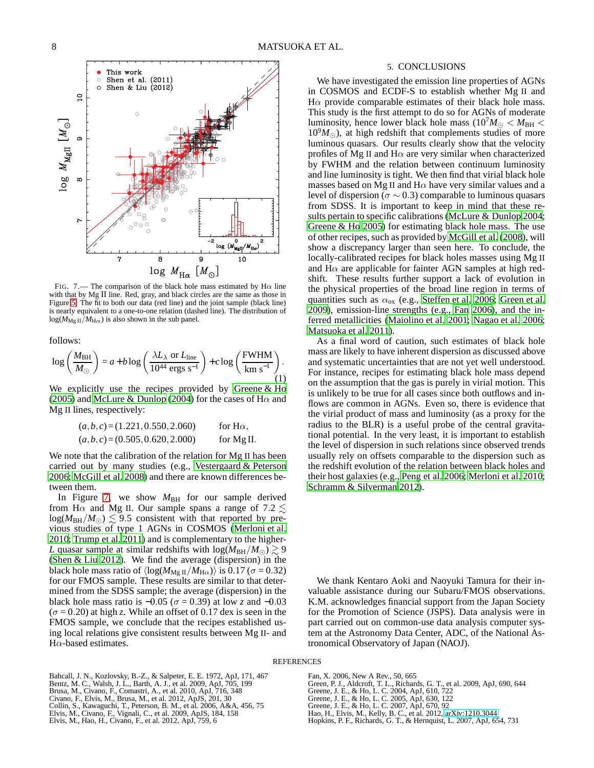![](_page_7_Figure_2.jpeg)

<span id="page-7-12"></span>FIG. 7.— The comparison of the black hole mass estimated by H $\alpha$  line with that by Mg II line. Red, gray, and black circles are the same as those in Figure [5.](#page-5-1) The fit to both our data (red line) and the joint sample (black line) is nearly equivalent to a one-to-one relation (dashed line). The distribution of  $log(M_{\rm Mg~II}/M_{\rm H\alpha})$  is also shown in the sub panel.

follows:

$$
\log\left(\frac{M_{\text{BH}}}{M_{\odot}}\right) = a + b \log\left(\frac{\lambda L_{\lambda} \text{ or } L_{\text{line}}}{10^{44} \text{ ergs s}^{-1}}\right) + c \log\left(\frac{\text{FWHM}}{\text{km s}^{-1}}\right). \tag{1}
$$

We explicitly use the recipes provided by [Greene & Ho](#page-7-8) [\(2005](#page-7-8)) and [McLure & Dunlop](#page-8-42) [\(2004\)](#page-8-42) for the cases of H $\alpha$  and Mg II lines, respectively:

$$
(a,b,c)=(1.221, 0.550, 2.060)
$$
 for H $\alpha$ ,  
 $(a,b,c)=(0.505, 0.620, 2.000)$  for Mg II.

We note that the calibration of the relation for Mg II has been carried out by many studies (e.g., [Vestergaard & Peterson](#page-8-43) [2006;](#page-8-43) [McGill et al. 2008\)](#page-8-44) and there are known differences between them.

In Figure [7,](#page-7-12) we show  $M_{BH}$  for our sample derived from H $\alpha$  and Mg II. Our sample spans a range of 7.2  $\lesssim$  $log(M_{BH}/M_{\odot}) \leq 9.5$  consistent with that reported by previous studies of type 1 AGNs in COSMOS [\(Merloni et al.](#page-8-13) [2010;](#page-8-13) [Trump et al. 2011\)](#page-8-45) and is complementary to the higher-*L* quasar sample at similar redshifts with  $log(M_{BH}/M_{\odot}) \gtrsim 9$ [\(Shen & Liu 2012\)](#page-8-36). We find the average (dispersion) in the black hole mass ratio of  $\langle \log(M_{\text{Mg II}}/M_{\text{H}\alpha}) \rangle$  is 0.17 ( $\sigma$  = 0.32) for our FMOS sample. These results are similar to that determined from the SDSS sample; the average (dispersion) in the black hole mass ratio is  $-0.05$  ( $\sigma = 0.39$ ) at low *z* and  $-0.03$  $(\sigma = 0.20)$  at high *z*. While an offset of 0.17 dex is seen in the FMOS sample, we conclude that the recipes established using local relations give consistent results between Mg II- and  $H\alpha$ -based estimates.

### 5. CONCLUSIONS

We have investigated the emission line properties of AGNs in COSMOS and ECDF-S to establish whether Mg II and H $\alpha$  provide comparable estimates of their black hole mass. This study is the first attempt to do so for AGNs of moderate luminosity, hence lower black hole mass ( $10^7 M_{\odot} < M_{\rm BH} <$  $10<sup>9</sup>M<sub>o</sub>$ ), at high redshift that complements studies of more luminous quasars. Our results clearly show that the velocity profiles of Mg II and  $H\alpha$  are very similar when characterized by FWHM and the relation between continuum luminosity and line luminosity is tight. We then find that virial black hole masses based on Mg II and  $H\alpha$  have very similar values and a level of dispersion ( $\sigma \sim 0.3$ ) comparable to luminous quasars from SDSS. It is important to keep in mind that these results pertain to specific calibrations [\(McLure & Dunlop 2004](#page-8-42); [Greene & Ho 2005](#page-7-8)) for estimating black hole mass. The use of other recipes, such as provided by [McGill et al.](#page-8-44) [\(2008\)](#page-8-44), will show a discrepancy larger than seen here. To conclude, the locally-calibrated recipes for black holes masses using Mg II and  $H\alpha$  are applicable for fainter AGN samples at high redshift. These results further support a lack of evolution in the physical properties of the broad line region in terms of quantities such as  $\alpha_{ox}$  (e.g., [Steffen et al. 2006;](#page-8-46) [Green et al.](#page-7-13) [2009\)](#page-7-13), emission-line strengths (e.g., [Fan 2006](#page-7-14)), and the inferred metallicities [\(Maiolino et al. 2001;](#page-8-47) [Nagao et al. 2006](#page-8-48); [Matsuoka et al. 2011](#page-8-49)).

As a final word of caution, such estimates of black hole mass are likely to have inherent dispersion as discussed above and systematic uncertainties that are not yet well understood. For instance, recipes for estimating black hole mass depend on the assumption that the gas is purely in virial motion. This is unlikely to be true for all cases since both outflows and inflows are common in AGNs. Even so, there is evidence that the virial product of mass and luminosity (as a proxy for the radius to the BLR) is a useful probe of the central gravitational potential. In the very least, it is important to establish the level of dispersion in such relations since observed trends usually rely on offsets comparable to the dispersion such as the redshift evolution of the relation between black holes and their host galaxies (e.g., [Peng et al. 2006](#page-8-50); [Merloni et al. 2010](#page-8-13); [Schramm & Silverman 2012\)](#page-8-37).

We thank Kentaro Aoki and Naoyuki Tamura for their invaluable assistance during our Subaru/FMOS observations. K.M. acknowledges financial support from the Japan Society for the Promotion of Science (JSPS). Data analysis were in part carried out on common-use data analysis computer system at the Astronomy Data Center, ADC, of the National Astronomical Observatory of Japan (NAOJ).

#### REFERENCES

Bahcall, J. N., Kozlovsky, B.-Z., & Salpeter, E. E. 1972, ApJ, 171, 467

- <span id="page-7-3"></span><span id="page-7-2"></span>Bentz, M. C., Walsh, J. L., Barth, A. J., et al. 2009, ApJ, 705, 199 Brusa, M., Civano, F., Comastri, A., et al. 2010, ApJ, 716, 348 Civano, F., Elvis, M., Brusa, M., et al. 2012, ApJS, 201, 30
- <span id="page-7-7"></span>
- <span id="page-7-6"></span>
- <span id="page-7-9"></span>Collin, S., Kawaguchi, T., Peterson, B. M., et al. 2006, A&A, 456, 75 Elvis, M., Civano, F., Vignali, C., et al. 2009, ApJS, 184, 158
- <span id="page-7-10"></span><span id="page-7-5"></span>Elvis, M., Hao, H., Civano, F., et al. 2012, ApJ, 759, 6
- <span id="page-7-14"></span>Fan, X. 2006, New A Rev., 50, 665
- <span id="page-7-13"></span><span id="page-7-0"></span>Green, P. J., Aldcroft, T. L., Richards, G. T., et al. 2009, ApJ, 690, 644 Greene, J. E., & Ho, L. C. 2004, ApJ, 610, 722 Greene, J. E., & Ho, L. C. 2005, ApJ, 630, 122 Greene, J. E., & Ho, L. C. 2007, ApJ, 670, 92
- 
- <span id="page-7-8"></span>
- <span id="page-7-1"></span>Hao, H., Elvis, M., Kelly, B. C., et al. 2012, [arXiv:1210.3044](http://arxiv.org/abs/1210.3044)
- 
- <span id="page-7-11"></span><span id="page-7-4"></span>Hopkins, P. F., Richards, G. T., & Hernquist, L. 2007, ApJ, 654, 731